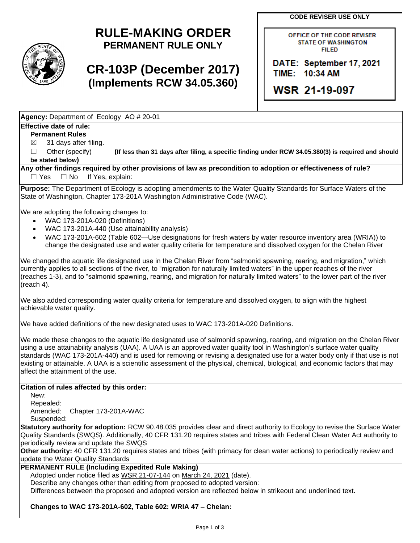**CODE REVISER USE ONLY**



# **RULE-MAKING ORDER PERMANENT RULE ONLY**

# **CR-103P (December 2017) (Implements RCW 34.05.360)**

OFFICE OF THE CODE REVISER **STATE OF WASHINGTON FILED** 

DATE: September 17, 2021 TIME: 10:34 AM

**WSR 21-19-097** 

**Agency:** Department of Ecology AO # 20-01

### **Effective date of rule:**

**Permanent Rules**

 $\boxtimes$  31 days after filing.

☐ Other (specify) **(If less than 31 days after filing, a specific finding under RCW 34.05.380(3) is required and should be stated below)**

**Any other findings required by other provisions of law as precondition to adoption or effectiveness of rule?** □ Yes □ No If Yes, explain:

**Purpose:** The Department of Ecology is adopting amendments to the Water Quality Standards for Surface Waters of the State of Washington, Chapter 173-201A Washington Administrative Code (WAC).

We are adopting the following changes to:

- WAC 173-201A-020 (Definitions)
- WAC 173-201A-440 (Use attainability analysis)
- WAC 173-201A-602 (Table 602—Use designations for fresh waters by water resource inventory area (WRIA)) to change the designated use and water quality criteria for temperature and dissolved oxygen for the Chelan River

We changed the aquatic life designated use in the Chelan River from "salmonid spawning, rearing, and migration," which currently applies to all sections of the river, to "migration for naturally limited waters" in the upper reaches of the river (reaches 1-3), and to "salmonid spawning, rearing, and migration for naturally limited waters" to the lower part of the river (reach 4).

We also added corresponding water quality criteria for temperature and dissolved oxygen, to align with the highest achievable water quality.

We have added definitions of the new designated uses to WAC 173-201A-020 Definitions.

We made these changes to the aquatic life designated use of salmonid spawning, rearing, and migration on the Chelan River using a use attainability analysis (UAA). A UAA is an approved water quality tool in Washington's surface water quality standards (WAC 173-201A-440) and is used for removing or revising a designated use for a water body only if that use is not existing or attainable. A UAA is a scientific assessment of the physical, chemical, biological, and economic factors that may affect the attainment of the use.

#### **Citation of rules affected by this order:**

New:

Repealed: Amended: Chapter 173-201A-WAC

Suspended:

**Statutory authority for adoption:** RCW 90.48.035 provides clear and direct authority to Ecology to revise the Surface Water Quality Standards (SWQS). Additionally, 40 CFR 131.20 requires states and tribes with Federal Clean Water Act authority to periodically review and update the SWQS

**Other authority:** 40 CFR 131.20 requires states and tribes (with primacy for clean water actions) to periodically review and update the Water Quality Standards

### **PERMANENT RULE (Including Expedited Rule Making)**

Adopted under notice filed as WSR 21-07-144 on March 24, 2021 (date).

Describe any changes other than editing from proposed to adopted version:

Differences between the proposed and adopted version are reflected below in strikeout and underlined text.

#### **Changes to WAC 173-201A-602, Table 602: WRIA 47 – Chelan:**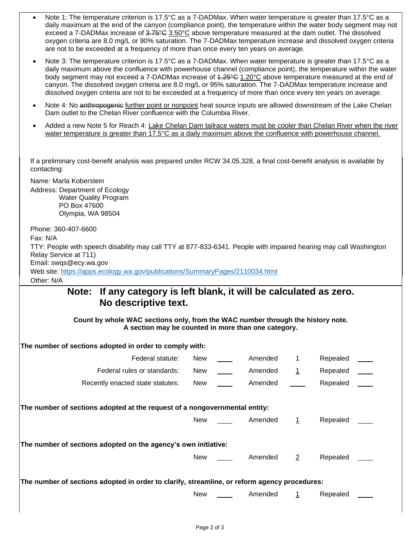- Note 1: The temperature criterion is 17.5°C as a 7-DADMax. When water temperature is greater than 17.5°C as a daily maximum at the end of the canyon (compliance point), the temperature within the water body segment may not exceed a 7-DADMax increase of 3.75°C 3.50°C above temperature measured at the dam outlet. The dissolved oxygen criteria are 8.0 mg/L or 90% saturation. The 7-DADMax temperature increase and dissolved oxygen criteria are not to be exceeded at a frequency of more than once every ten years on average.
- Note 3: The temperature criterion is 17.5°C as a 7-DADMax. When water temperature is greater than 17.5°C as a daily maximum above the confluence with powerhouse channel (compliance point), the temperature within the water body segment may not exceed a 7-DADMax increase of 4.25°C 1.20°C above temperature measured at the end of canyon. The dissolved oxygen criteria are 8.0 mg/L or 95% saturation. The 7-DADMax temperature increase and dissolved oxygen criteria are not to be exceeded at a frequency of more than once every ten years on average.
- Note 4: No anthropogenic further point or nonpoint heat source inputs are allowed downstream of the Lake Chelan Dam outlet to the Chelan River confluence with the Columbia River.
- Added a new Note 5 for Reach 4: Lake Chelan Dam tailrace waters must be cooler than Chelan River when the river water temperature is greater than 17.5°C as a daily maximum above the confluence with powerhouse channel.

If a preliminary cost-benefit analysis was prepared under RCW 34.05.328, a final cost-benefit analysis is available by contacting:

Name: Marla Koberstein Address: Department of Ecology Water Quality Program PO Box 47600 Olympia, WA 98504

Phone: 360-407-6600

Fax: N/A

TTY: People with speech disability may call TTY at 877-833-6341. People with impaired hearing may call Washington Relay Service at 711)

Email: swqs@ecy.wa.gov

Web site:<https://apps.ecology.wa.gov/publications/SummaryPages/2110034.html> Other: N/A

## **Note: If any category is left blank, it will be calculated as zero. No descriptive text.**

**Count by whole WAC sections only, from the WAC number through the history note. A section may be counted in more than one category.**

|                                                                | The number of sections adopted in order to comply with:                                      |            |  |         |                |          |  |  |  |
|----------------------------------------------------------------|----------------------------------------------------------------------------------------------|------------|--|---------|----------------|----------|--|--|--|
|                                                                | Federal statute:                                                                             | New        |  | Amended | 1              | Repealed |  |  |  |
|                                                                | Federal rules or standards:                                                                  | New        |  | Amended | <u> 1</u>      | Repealed |  |  |  |
|                                                                | Recently enacted state statutes:                                                             | <b>New</b> |  | Amended |                | Repealed |  |  |  |
|                                                                |                                                                                              |            |  |         |                |          |  |  |  |
|                                                                | The number of sections adopted at the request of a nongovernmental entity:                   |            |  |         |                |          |  |  |  |
|                                                                |                                                                                              | New        |  | Amended | 1              | Repealed |  |  |  |
|                                                                |                                                                                              |            |  |         |                |          |  |  |  |
| The number of sections adopted on the agency's own initiative: |                                                                                              |            |  |         |                |          |  |  |  |
|                                                                |                                                                                              | New        |  | Amended | $\overline{2}$ | Repealed |  |  |  |
|                                                                |                                                                                              |            |  |         |                |          |  |  |  |
|                                                                | The number of sections adopted in order to clarify, streamline, or reform agency procedures: |            |  |         |                |          |  |  |  |
|                                                                |                                                                                              | New        |  | Amended |                | Repealed |  |  |  |
|                                                                |                                                                                              |            |  |         |                |          |  |  |  |